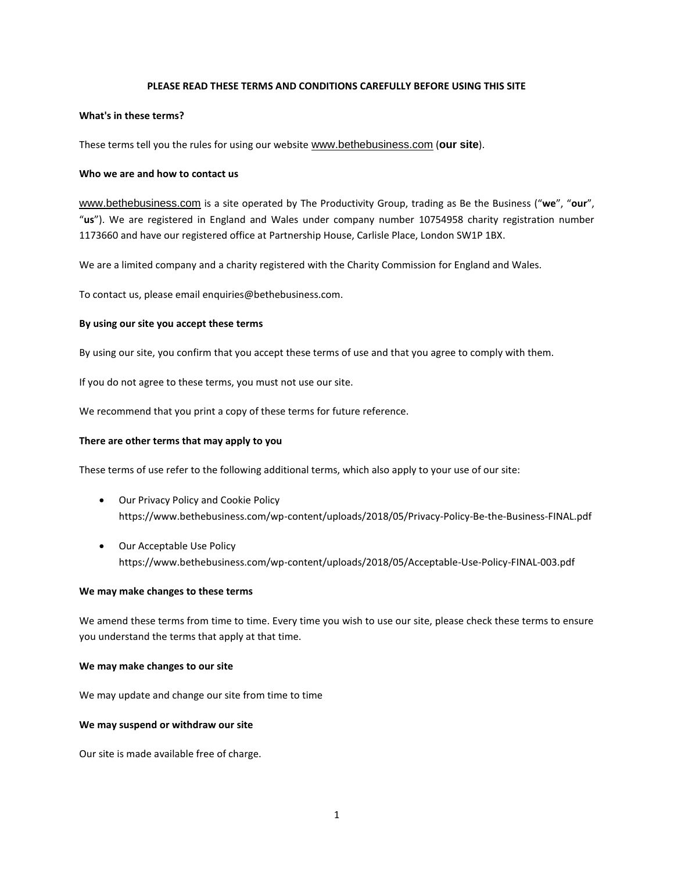## **PLEASE READ THESE TERMS AND CONDITIONS CAREFULLY BEFORE USING THIS SITE**

## **What's in these terms?**

These terms tell you the rules for using our website [www.bethebusiness.com](http://www.bethebusiness.com/) (**our site**).

## **Who we are and how to contact us**

[www.bethebusiness.com](http://www.bethebusiness.com/) is a site operated by The Productivity Group, trading as Be the Business ("**we**", "**our**", "**us**"). We are registered in England and Wales under company number 10754958 charity registration number 1173660 and have our registered office at Partnership House, Carlisle Place, London SW1P 1BX.

We are a limited company and a charity registered with the Charity Commission for England and Wales.

To contact us, please email enquiries@bethebusiness.com.

## **By using our site you accept these terms**

By using our site, you confirm that you accept these terms of use and that you agree to comply with them.

If you do not agree to these terms, you must not use our site.

We recommend that you print a copy of these terms for future reference.

## **There are other terms that may apply to you**

These terms of use refer to the following additional terms, which also apply to your use of our site:

- Our Privacy Policy and Cookie Policy https://www.bethebusiness.com/wp-content/uploads/2018/05/Privacy-Policy-Be-the-Business-FINAL.pdf
- Our Acceptable Use Policy https://www.bethebusiness.com/wp-content/uploads/2018/05/Acceptable-Use-Policy-FINAL-003.pdf

## **We may make changes to these terms**

We amend these terms from time to time. Every time you wish to use our site, please check these terms to ensure you understand the terms that apply at that time.

## **We may make changes to our site**

We may update and change our site from time to time

## **We may suspend or withdraw our site**

Our site is made available free of charge.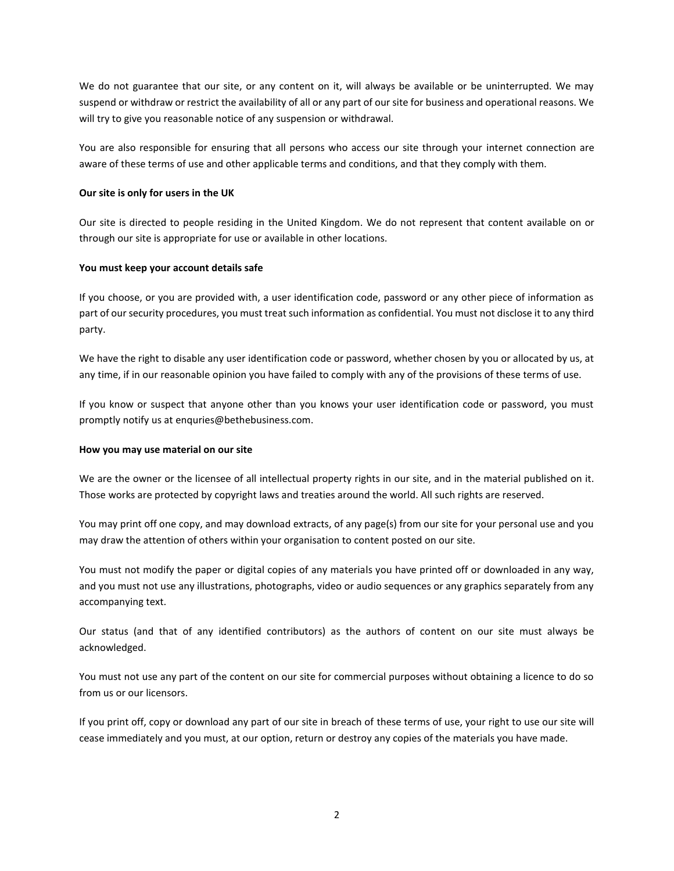We do not guarantee that our site, or any content on it, will always be available or be uninterrupted. We may suspend or withdraw or restrict the availability of all or any part of our site for business and operational reasons. We will try to give you reasonable notice of any suspension or withdrawal.

You are also responsible for ensuring that all persons who access our site through your internet connection are aware of these terms of use and other applicable terms and conditions, and that they comply with them.

## **Our site is only for users in the UK**

Our site is directed to people residing in the United Kingdom. We do not represent that content available on or through our site is appropriate for use or available in other locations.

## **You must keep your account details safe**

If you choose, or you are provided with, a user identification code, password or any other piece of information as part of our security procedures, you must treat such information as confidential. You must not disclose it to any third party.

We have the right to disable any user identification code or password, whether chosen by you or allocated by us, at any time, if in our reasonable opinion you have failed to comply with any of the provisions of these terms of use.

If you know or suspect that anyone other than you knows your user identification code or password, you must promptly notify us at enquries@bethebusiness.com.

## **How you may use material on our site**

We are the owner or the licensee of all intellectual property rights in our site, and in the material published on it. Those works are protected by copyright laws and treaties around the world. All such rights are reserved.

You may print off one copy, and may download extracts, of any page(s) from our site for your personal use and you may draw the attention of others within your organisation to content posted on our site.

You must not modify the paper or digital copies of any materials you have printed off or downloaded in any way, and you must not use any illustrations, photographs, video or audio sequences or any graphics separately from any accompanying text.

Our status (and that of any identified contributors) as the authors of content on our site must always be acknowledged.

You must not use any part of the content on our site for commercial purposes without obtaining a licence to do so from us or our licensors.

If you print off, copy or download any part of our site in breach of these terms of use, your right to use our site will cease immediately and you must, at our option, return or destroy any copies of the materials you have made.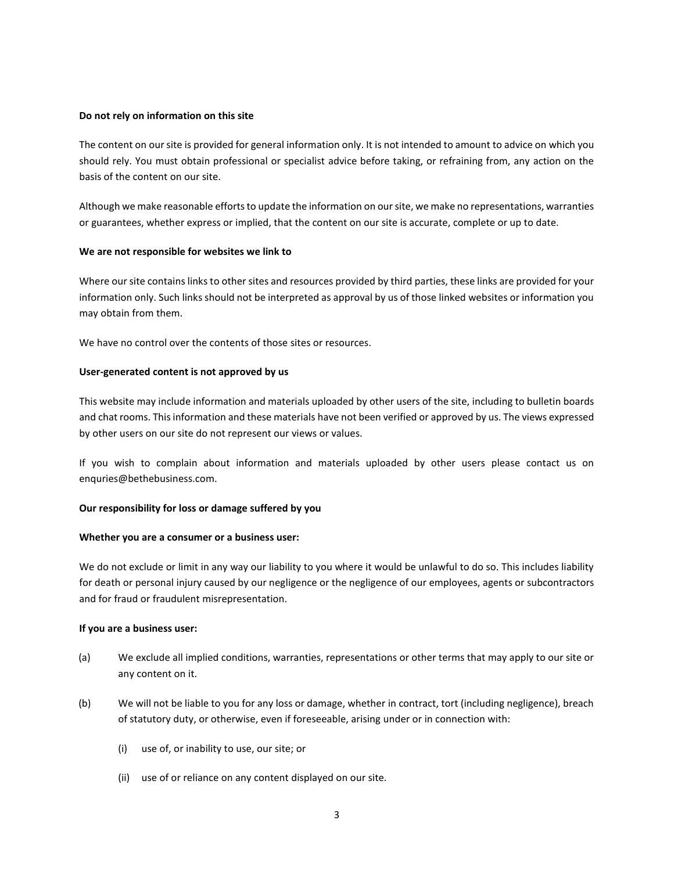## **Do not rely on information on this site**

The content on our site is provided for general information only. It is not intended to amount to advice on which you should rely. You must obtain professional or specialist advice before taking, or refraining from, any action on the basis of the content on our site.

Although we make reasonable efforts to update the information on our site, we make no representations, warranties or guarantees, whether express or implied, that the content on our site is accurate, complete or up to date.

## **We are not responsible for websites we link to**

Where our site contains links to other sites and resources provided by third parties, these links are provided for your information only. Such links should not be interpreted as approval by us of those linked websites or information you may obtain from them.

We have no control over the contents of those sites or resources.

#### **User-generated content is not approved by us**

This website may include information and materials uploaded by other users of the site, including to bulletin boards and chat rooms. This information and these materials have not been verified or approved by us. The views expressed by other users on our site do not represent our views or values.

If you wish to complain about information and materials uploaded by other users please contact us on enquries@bethebusiness.com.

## **Our responsibility for loss or damage suffered by you**

#### **Whether you are a consumer or a business user:**

We do not exclude or limit in any way our liability to you where it would be unlawful to do so. This includes liability for death or personal injury caused by our negligence or the negligence of our employees, agents or subcontractors and for fraud or fraudulent misrepresentation.

## **If you are a business user:**

- (a) We exclude all implied conditions, warranties, representations or other terms that may apply to our site or any content on it.
- (b) We will not be liable to you for any loss or damage, whether in contract, tort (including negligence), breach of statutory duty, or otherwise, even if foreseeable, arising under or in connection with:
	- (i) use of, or inability to use, our site; or
	- (ii) use of or reliance on any content displayed on our site.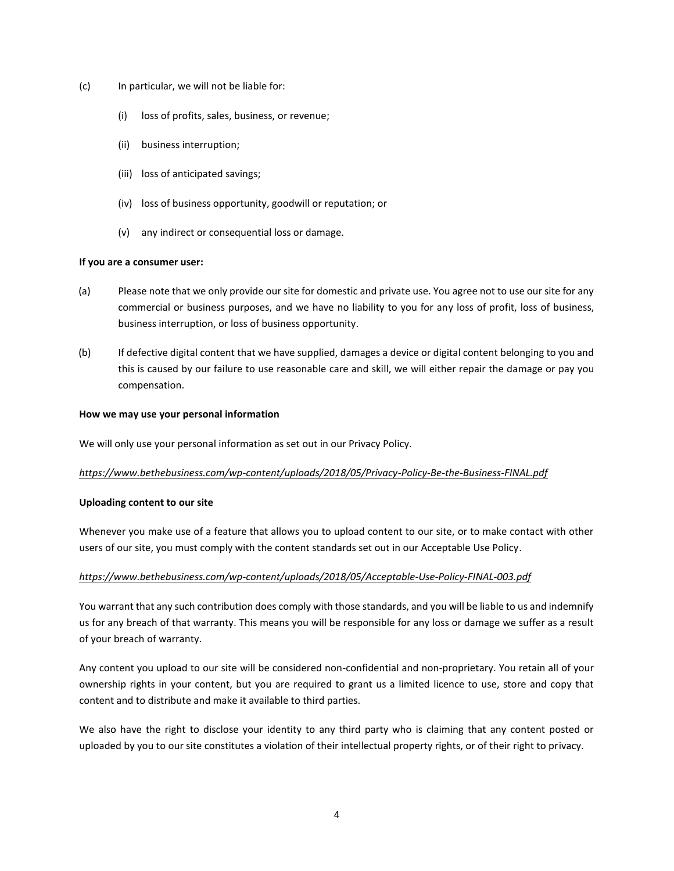- (c) In particular, we will not be liable for:
	- (i) loss of profits, sales, business, or revenue;
	- (ii) business interruption;
	- (iii) loss of anticipated savings;
	- (iv) loss of business opportunity, goodwill or reputation; or
	- (v) any indirect or consequential loss or damage.

## **If you are a consumer user:**

- (a) Please note that we only provide our site for domestic and private use. You agree not to use our site for any commercial or business purposes, and we have no liability to you for any loss of profit, loss of business, business interruption, or loss of business opportunity.
- (b) If defective digital content that we have supplied, damages a device or digital content belonging to you and this is caused by our failure to use reasonable care and skill, we will either repair the damage or pay you compensation.

## **How we may use your personal information**

We will only use your personal information as set out in our Privacy Policy.

## *<https://www.bethebusiness.com/wp-content/uploads/2018/05/Privacy-Policy-Be-the-Business-FINAL.pdf>*

## **Uploading content to our site**

Whenever you make use of a feature that allows you to upload content to our site, or to make contact with other users of our site, you must comply with the content standards set out in our Acceptable Use Policy.

# *<https://www.bethebusiness.com/wp-content/uploads/2018/05/Acceptable-Use-Policy-FINAL-003.pdf>*

You warrant that any such contribution does comply with those standards, and you will be liable to us and indemnify us for any breach of that warranty. This means you will be responsible for any loss or damage we suffer as a result of your breach of warranty.

Any content you upload to our site will be considered non-confidential and non-proprietary. You retain all of your ownership rights in your content, but you are required to grant us a limited licence to use, store and copy that content and to distribute and make it available to third parties.

We also have the right to disclose your identity to any third party who is claiming that any content posted or uploaded by you to our site constitutes a violation of their intellectual property rights, or of their right to privacy.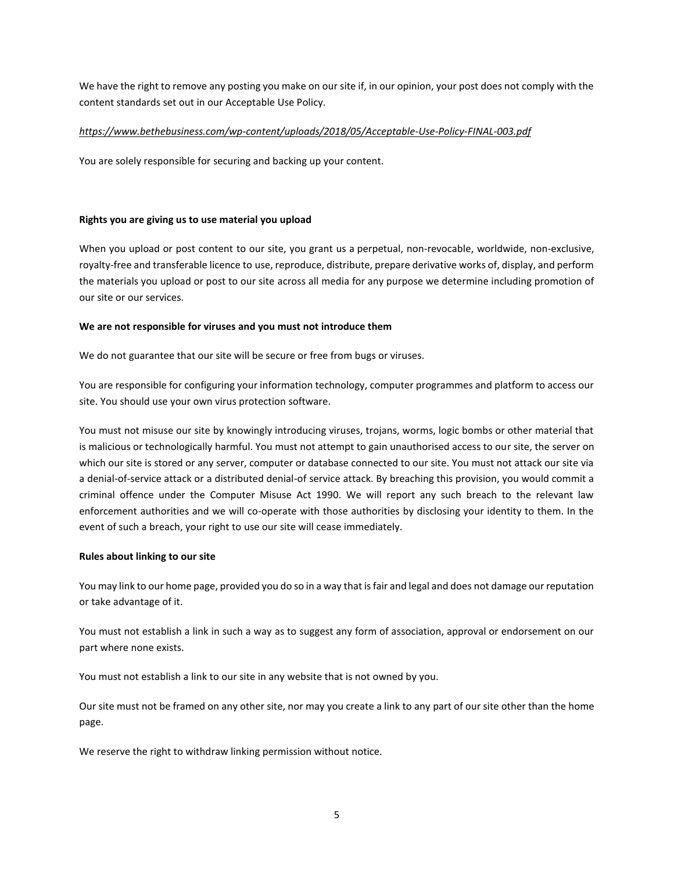We have the right to remove any posting you make on our site if, in our opinion, your post does not comply with the content standards set out in our Acceptable Use Policy.

## *<https://www.bethebusiness.com/wp-content/uploads/2018/05/Acceptable-Use-Policy-FINAL-003.pdf>*

You are solely responsible for securing and backing up your content.

## **Rights you are giving us to use material you upload**

When you upload or post content to our site, you grant us a perpetual, non-revocable, worldwide, non-exclusive, royalty-free and transferable licence to use, reproduce, distribute, prepare derivative works of, display, and perform the materials you upload or post to our site across all media for any purpose we determine including promotion of our site or our services.

## **We are not responsible for viruses and you must not introduce them**

We do not guarantee that our site will be secure or free from bugs or viruses.

You are responsible for configuring your information technology, computer programmes and platform to access our site. You should use your own virus protection software.

You must not misuse our site by knowingly introducing viruses, trojans, worms, logic bombs or other material that is malicious or technologically harmful. You must not attempt to gain unauthorised access to our site, the server on which our site is stored or any server, computer or database connected to our site. You must not attack our site via a denial-of-service attack or a distributed denial-of service attack. By breaching this provision, you would commit a criminal offence under the Computer Misuse Act 1990. We will report any such breach to the relevant law enforcement authorities and we will co-operate with those authorities by disclosing your identity to them. In the event of such a breach, your right to use our site will cease immediately.

## **Rules about linking to our site**

You may link to our home page, provided you do so in a way that is fair and legal and does not damage our reputation or take advantage of it.

You must not establish a link in such a way as to suggest any form of association, approval or endorsement on our part where none exists.

You must not establish a link to our site in any website that is not owned by you.

Our site must not be framed on any other site, nor may you create a link to any part of our site other than the home page.

We reserve the right to withdraw linking permission without notice.